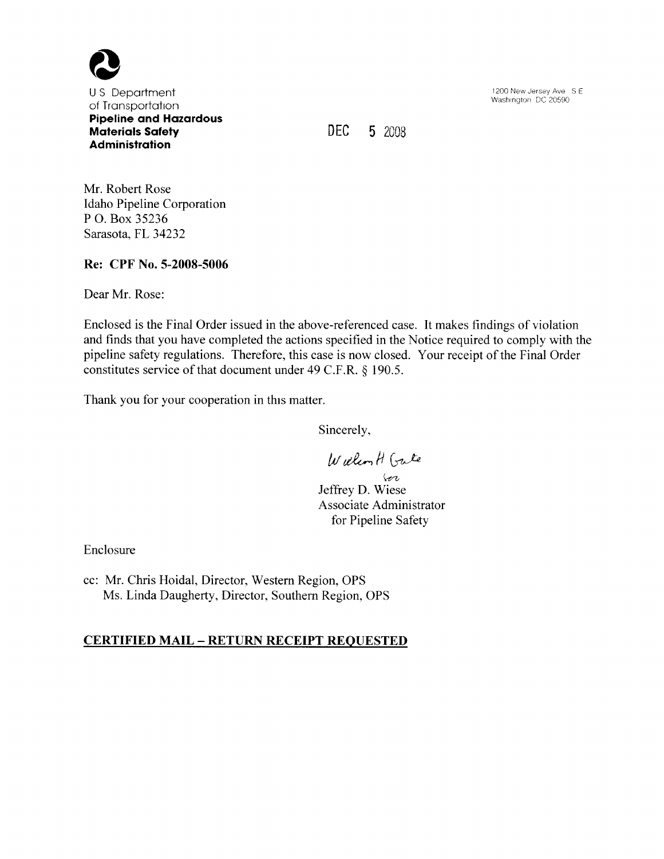

<sup>U</sup>S Department of Transportation Pipeline and Hazardous Materials Safety Administration

DEC 5 2008

1200 New Jersey Ave S E Washington DC 20590

Mr. Robert Rose Idaho Pipeline Corporation P O. Box 35236 Sarasota, FL 34232

Re: CPF No. 5-2008-5006

Dear Mr. Rose:

Enclosed is the Final Order issued in the above-referenced case. It makes findings of violation and finds that you have completed the actions specified in the Notice required to comply with the pipeline safety regulations. Therefore, this case is now closed. Your receipt of the Final Order constitutes service of that document under 49 C.F.R.  $\S$  190.5.

Thank you for your cooperation in this matter.

Sincerely,

William H Gute

vor Jeffrey D. Wiese Associate Administrator for Pipeline Safety

Enclosure

cc: Mr. Chris Hoidal, Director, Western Region, OPS Ms. Linda Daugherty, Director, Southern Region, OPS

# CERTIFIED MAIL – RETURN RECEIPT REQUESTED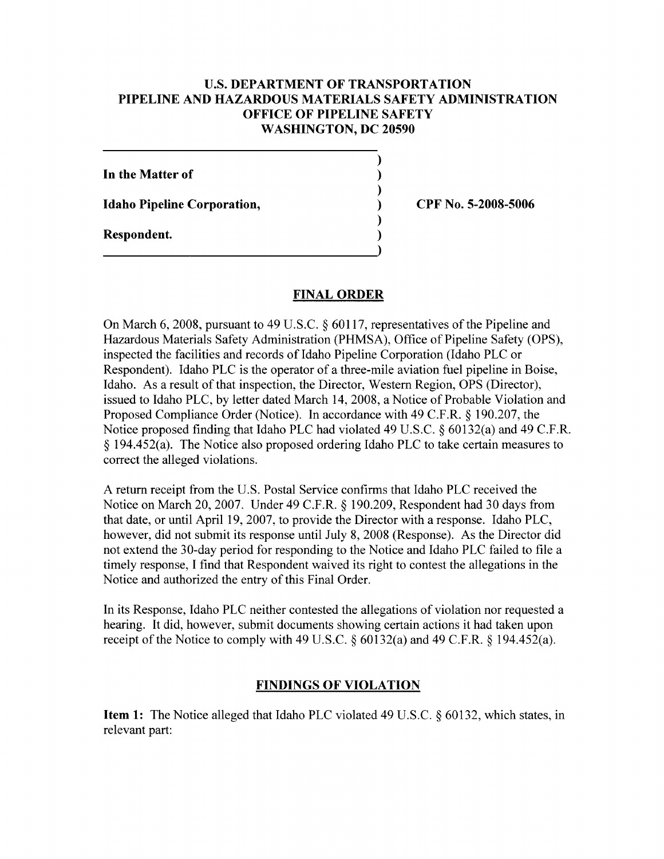### U.S. DEPARTMENT OF TRANSPORTATION PIPELINE AND HAZARDOUS MATERIALS SAFETY ADMINISTRATION OFFICE OF PIPELINE SAFETY WASHINGTON, DC 20590

 $\mathcal{E}$  $\lambda$  $\lambda$  $\lambda$ 

In the Matter of Idaho Pipeline Corporation, Respondent.

CPF No. 5-200S-5006

### FINAL ORDER

On March 6, 2008, pursuant to 49 U.S.C. § 60117, representatives of the Pipeline and Hazardous Materials Safety Administration (PHMSA), Office of Pipeline Safety (OPS), inspected the facilities and records of Idaho Pipeline Corporation (Idaho PLC or Respondent). Idaho PLC is the operator of a three-mile aviation fuel pipeline in Boise, Idaho. As a result of that inspection, the Director, Western Region, OPS (Director), issued to Idaho PLC, by letter dated March 14, 2008, a Notice of Probable Violation and Proposed Compliance Order (Notice). In accordance with 49 C.F.R. § 190.207, the Notice proposed finding that Idaho PLC had violated 49 U.S.C.  $\S$  60132(a) and 49 C.F.R.  $\S$  194.452(a). The Notice also proposed ordering Idaho PLC to take certain measures to correct the alleged violations.

A return receipt from the U.S. Postal Service confirms that Idaho PLC received the Notice on March 20, 2007. Under 49 C.F.R. § 190.209, Respondent had 30 days from that date, or until April 19, 2007, to provide the Director with a response. Idaho PLC, however, did not submit its response until July 8, 2008 (Response). As the Director did not extend the 30-day period for responding to the Notice and Idaho PLC failed to file a timely response, I find that Respondent waived its right to contest the allegations in the Notice and authorized the entry of this Final Order.

In its Response, Idaho PLC neither contested the allegations of violation nor requested a hearing. It did, however, submit documents showing certain actions it had taken upon receipt of the Notice to comply with 49 U.S.C.  $\S$  60132(a) and 49 C.F.R.  $\S$  194.452(a).

# FINDINGS OF VIOLATION

**Item 1:** The Notice alleged that Idaho PLC violated 49 U.S.C.  $\S$  60132, which states, in relevant part: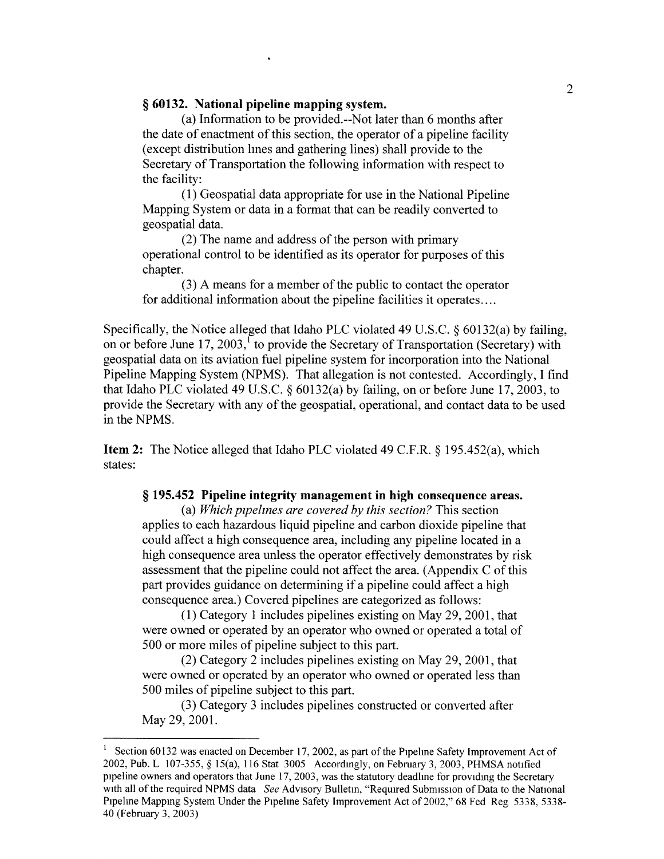#### <sup>g</sup>60132. National pipeline mapping system.

(a) Information to be provided. — Not later than 6 months after the date of enactment of this section, the operator of a pipeline facility (except distribution hnes and gathering lines) shall provide to the Secretary of Transportation the following information with respect to the facility:

(1) Geospatial data appropriate for use in the National Pipeline Mapping System or data in a format that can be readily converted to geospatial data.

(2) The name and address of the person with primary operational control to be identified as its operator for purposes of this chapter.

(3) A means for a member of the public to contact the operator for additional information about the pipeline facilities it operates....

Specifically, the Notice alleged that Idaho PLC violated 49 U.S.C.  $\S$  60132(a) by failing, on or before June 17, 2003,<sup>1</sup> to provide the Secretary of Transportation (Secretary) with geospatial data on its aviation fuel pipeline system for incorporation into the National Pipeline Mapping System (NPMS). That allegation is not contested. Accordingly, I find that Idaho PLC violated 49 U.S.C.  $\S$  60132(a) by failing, on or before June 17, 2003, to provide the Secretary with any of the geospatial, operational, and contact data to be used in the NPMS.

Item 2: The Notice alleged that Idaho PLC violated 49 C.F.R. § 195.452(a), which states:

#### § 195.452 Pipeline integrity management in high consequence areas.

(a) Which pipelines are covered by this section? This section applies to each hazardous liquid pipeline and carbon dioxide pipeline that could affect a high consequence area, including any pipeline located in a high consequence area unless the operator effectively demonstrates by risk assessment that the pipeline could not affect the area. (Appendix C of this part provides guidance on determining if a pipeline could affect a high consequence area. ) Covered pipelines are categorized as follows:

(1) Category 1 includes pipelines existing on May 29, 2001, that were owned or operated by an operator who owned or operated a total of 500 or more miles of pipeline subject to this part.

(2) Category 2 includes pipelines existing on May 29, 2001, that were owned or operated by an operator who owned or operated less than 500 miles of pipeline subject to this part.

(3) Category 3 includes pipelines constructed or converted after May 29, 2001.

Section 60132 was enacted on December 17, 2002, as part of the Pipelme Safety Improvement Act of 2002, Pub. L 107-355, \$ 15(a), 116 Stat 3005 Accordmgly, on February 3, 2003, PHMSA notified pipeline owners and operators that June 17, 2003, was the statutory deadlme for providmg the Secretary with all of the required NPMS data See Advisory Bulletin, "Required Submission of Data to the National Pipeline Mapping System Under the Pipeline Safety Improvement Act of 2002," 68 Fed Reg 5338, 5338-40 (February 3, 2003)